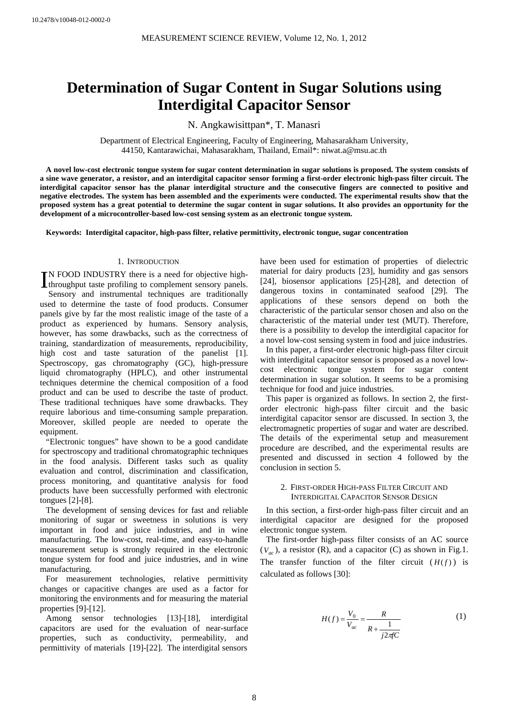# **Determination of Sugar Content in Sugar Solutions using Interdigital Capacitor Sensor**

N. Angkawisittpan\*, T. Manasri

Department of Electrical Engineering, Faculty of Engineering, Mahasarakham University, 44150, Kantarawichai, Mahasarakham, Thailand, Email\*: niwat.a@msu.ac.th

**A novel low-cost electronic tongue system for sugar content determination in sugar solutions is proposed. The system consists of a sine wave generator, a resistor, and an interdigital capacitor sensor forming a first-order electronic high-pass filter circuit. The interdigital capacitor sensor has the planar interdigital structure and the consecutive fingers are connected to positive and negative electrodes. The system has been assembled and the experiments were conducted. The experimental results show that the proposed system has a great potential to determine the sugar content in sugar solutions. It also provides an opportunity for the development of a microcontroller-based low-cost sensing system as an electronic tongue system.** 

**Keywords: Interdigital capacitor, high-pass filter, relative permittivity, electronic tongue, sugar concentration** 

## 1. INTRODUCTION

N FOOD INDUSTRY there is a need for objective high-IN FOOD INDUSTRY there is a need for objective high-<br>throughput taste profiling to complement sensory panels. Sensory and instrumental techniques are traditionally used to determine the taste of food products. Consumer panels give by far the most realistic image of the taste of a product as experienced by humans. Sensory analysis, however, has some drawbacks, such as the correctness of training, standardization of measurements, reproducibility, high cost and taste saturation of the panelist [1]. Spectroscopy, gas chromatography (GC), high-pressure liquid chromatography (HPLC), and other instrumental techniques determine the chemical composition of a food product and can be used to describe the taste of product. These traditional techniques have some drawbacks. They require laborious and time-consuming sample preparation. Moreover, skilled people are needed to operate the equipment.

"Electronic tongues" have shown to be a good candidate for spectroscopy and traditional chromatographic techniques in the food analysis. Different tasks such as quality evaluation and control, discrimination and classification, process monitoring, and quantitative analysis for food products have been successfully performed with electronic tongues [2]-[8].

The development of sensing devices for fast and reliable monitoring of sugar or sweetness in solutions is very important in food and juice industries, and in wine manufacturing. The low-cost, real-time, and easy-to-handle measurement setup is strongly required in the electronic tongue system for food and juice industries, and in wine manufacturing.

For measurement technologies, relative permittivity changes or capacitive changes are used as a factor for monitoring the environments and for measuring the material properties [9]-[12].

Among sensor technologies [13]-[18], interdigital capacitors are used for the evaluation of near-surface properties, such as conductivity, permeability, and permittivity of materials [19]-[22]. The interdigital sensors

have been used for estimation of properties of dielectric material for dairy products [23], humidity and gas sensors [24], biosensor applications [25]-[28], and detection of dangerous toxins in contaminated seafood [29]. The applications of these sensors depend on both the characteristic of the particular sensor chosen and also on the characteristic of the material under test (MUT). Therefore, there is a possibility to develop the interdigital capacitor for a novel low-cost sensing system in food and juice industries.

In this paper, a first-order electronic high-pass filter circuit with interdigital capacitor sensor is proposed as a novel lowcost electronic tongue system for sugar content determination in sugar solution. It seems to be a promising technique for food and juice industries.

This paper is organized as follows. In section 2, the firstorder electronic high-pass filter circuit and the basic interdigital capacitor sensor are discussed. In section 3, the electromagnetic properties of sugar and water are described. The details of the experimental setup and measurement procedure are described, and the experimental results are presented and discussed in section 4 followed by the conclusion in section 5.

# 2. FIRST-ORDER HIGH-PASS FILTER CIRCUIT AND INTERDIGITAL CAPACITOR SENSOR DESIGN

In this section, a first-order high-pass filter circuit and an interdigital capacitor are designed for the proposed electronic tongue system.

The first-order high-pass filter consists of an AC source  $(V_{ac})$ , a resistor (R), and a capacitor (C) as shown in Fig.1. The transfer function of the filter circuit  $(H(f))$  is calculated as follows [30]:

$$
H(f) = \frac{V_0}{V_{ac}} = \frac{R}{R + \frac{1}{j2\pi fC}}
$$
(1)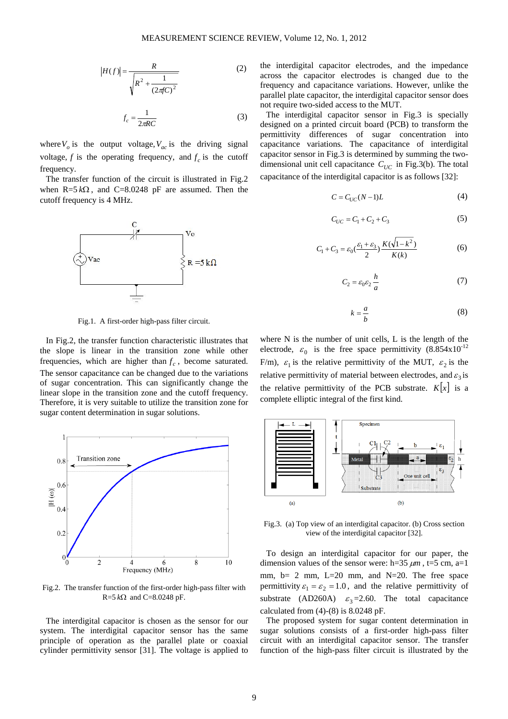$$
|H(f)| = \frac{R}{\sqrt{R^2 + \frac{1}{(2\pi fC)^2}}}
$$
 (2)

$$
f_c = \frac{1}{2\pi RC}
$$
 (3)

where  $V_o$  is the output voltage,  $V_{ac}$  is the driving signal voltage,  $f$  is the operating frequency, and  $f_c$  is the cutoff frequency.

The transfer function of the circuit is illustrated in Fig.2 when  $R=5 k\Omega$ , and  $C=8.0248$  pF are assumed. Then the cutoff frequency is 4 MHz.



Fig.1. A first-order high-pass filter circuit.

In Fig.2, the transfer function characteristic illustrates that the slope is linear in the transition zone while other frequencies, which are higher than  $f_c$ , become saturated. The sensor capacitance can be changed due to the variations of sugar concentration. This can significantly change the linear slope in the transition zone and the cutoff frequency. Therefore, it is very suitable to utilize the transition zone for sugar content determination in sugar solutions.



Fig.2. The transfer function of the first-order high-pass filter with R=5 *k*Ω and C=8.0248 pF.

The interdigital capacitor is chosen as the sensor for our system. The interdigital capacitor sensor has the same principle of operation as the parallel plate or coaxial cylinder permittivity sensor [31]. The voltage is applied to the interdigital capacitor electrodes, and the impedance across the capacitor electrodes is changed due to the frequency and capacitance variations. However, unlike the parallel plate capacitor, the interdigital capacitor sensor does not require two-sided access to the MUT.

The interdigital capacitor sensor in Fig.3 is specially designed on a printed circuit board (PCB) to transform the permittivity differences of sugar concentration into capacitance variations. The capacitance of interdigital capacitor sensor in Fig.3 is determined by summing the twodimensional unit cell capacitance  $C_{UC}$  in Fig.3(b). The total capacitance of the interdigital capacitor is as follows [32]:

$$
C = C_{UC}(N-1)L
$$
 (4)

$$
C_{UC} = C_1 + C_2 + C_3 \tag{5}
$$

$$
C_1 + C_3 = \varepsilon_0 \left( \frac{\varepsilon_1 + \varepsilon_3}{2} \right) \frac{K(\sqrt{1 - k^2})}{K(k)} \tag{6}
$$

$$
C_2 = \varepsilon_0 \varepsilon_2 \frac{h}{a} \tag{7}
$$

$$
k = \frac{a}{b} \tag{8}
$$

where N is the number of unit cells, L is the length of the electrode,  $\varepsilon_0$  is the free space permittivity  $(8.854 \times 10^{-12})$ F/m),  $\varepsilon_1$  is the relative permittivity of the MUT,  $\varepsilon_2$  is the relative permittivity of material between electrodes, and  $\varepsilon_3$  is the relative permittivity of the PCB substrate.  $K[x]$  is a complete elliptic integral of the first kind.



Fig.3. (a) Top view of an interdigital capacitor. (b) Cross section view of the interdigital capacitor [32].

To design an interdigital capacitor for our paper, the dimension values of the sensor were:  $h=35 \mu m$ ,  $t=5 \text{ cm}$ ,  $a=1$ mm,  $b = 2$  mm,  $L=20$  mm, and  $N=20$ . The free space permittivity  $\varepsilon_1 = \varepsilon_2 = 1.0$ , and the relative permittivity of substrate (AD260A)  $\varepsilon_3 = 2.60$ . The total capacitance calculated from  $(4)-(8)$  is 8.0248 pF.

The proposed system for sugar content determination in sugar solutions consists of a first-order high-pass filter circuit with an interdigital capacitor sensor. The transfer function of the high-pass filter circuit is illustrated by the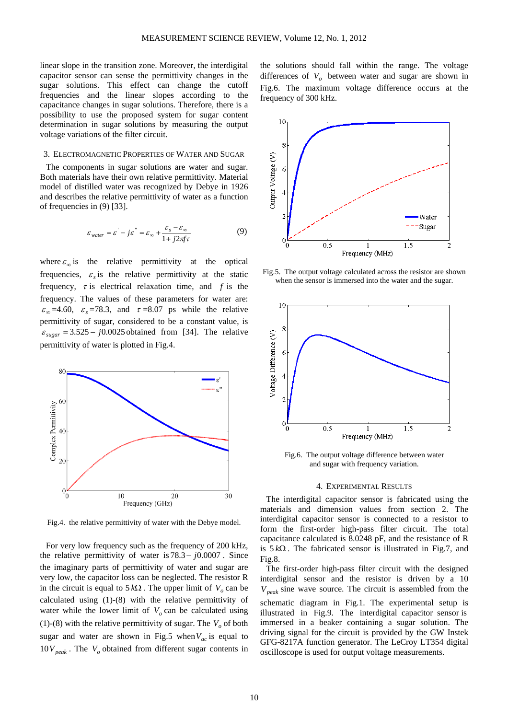linear slope in the transition zone. Moreover, the interdigital capacitor sensor can sense the permittivity changes in the sugar solutions. This effect can change the cutoff frequencies and the linear slopes according to the capacitance changes in sugar solutions. Therefore, there is a possibility to use the proposed system for sugar content determination in sugar solutions by measuring the output voltage variations of the filter circuit.

# 3. ELECTROMAGNETIC PROPERTIES OF WATER AND SUGAR

The components in sugar solutions are water and sugar. Both materials have their own relative permittivity. Material model of distilled water was recognized by Debye in 1926 and describes the relative permittivity of water as a function of frequencies in (9) [33].

$$
\varepsilon_{water} = \varepsilon' - j\varepsilon^{''} = \varepsilon_{\infty} + \frac{\varepsilon_{s} - \varepsilon_{\infty}}{1 + j2\pi f\tau}
$$
(9)

where  $\varepsilon_{\infty}$  is the relative permittivity at the optical frequencies,  $\varepsilon$ <sub>s</sub> is the relative permittivity at the static frequency,  $\tau$  is electrical relaxation time, and  $f$  is the frequency. The values of these parameters for water are:  $\varepsilon_{\infty}$  =4.60,  $\varepsilon_{s}$  =78.3, and  $\tau$  =8.07 ps while the relative permittivity of sugar, considered to be a constant value, is  $\varepsilon_{\text{Sugar}} = 3.525 - j0.0025$  obtained from [34]. The relative permittivity of water is plotted in Fig.4.



Fig.4. the relative permittivity of water with the Debye model.

For very low frequency such as the frequency of 200 kHz, the relative permittivity of water is 78.3− *j*0.0007 . Since the imaginary parts of permittivity of water and sugar are very low, the capacitor loss can be neglected. The resistor R in the circuit is equal to  $5 k\Omega$ . The upper limit of  $V_o$  can be calculated using (1)-(8) with the relative permittivity of water while the lower limit of  $V<sub>o</sub>$  can be calculated using (1)-(8) with the relative permittivity of sugar. The  $V<sub>o</sub>$  of both sugar and water are shown in Fig.5 when  $V_{ac}$  is equal to  $10V_{peak}$ . The  $V_o$  obtained from different sugar contents in

the solutions should fall within the range. The voltage differences of  $V<sub>o</sub>$  between water and sugar are shown in Fig.6. The maximum voltage difference occurs at the frequency of 300 kHz.



Fig.5. The output voltage calculated across the resistor are shown when the sensor is immersed into the water and the sugar.



Fig.6. The output voltage difference between water and sugar with frequency variation.

#### 4. EXPERIMENTAL RESULTS

The interdigital capacitor sensor is fabricated using the materials and dimension values from section 2. The interdigital capacitor sensor is connected to a resistor to form the first-order high-pass filter circuit. The total capacitance calculated is 8.0248 pF, and the resistance of R is 5 *k*Ω . The fabricated sensor is illustrated in Fig.7, and Fig.8.

The first-order high-pass filter circuit with the designed interdigital sensor and the resistor is driven by a 10 *Vpeak* sine wave source. The circuit is assembled from the schematic diagram in Fig.1. The experimental setup is illustrated in Fig.9. The interdigital capacitor sensor is immersed in a beaker containing a sugar solution. The driving signal for the circuit is provided by the GW Instek GFG-8217A function generator. The LeCroy LT354 digital oscilloscope is used for output voltage measurements.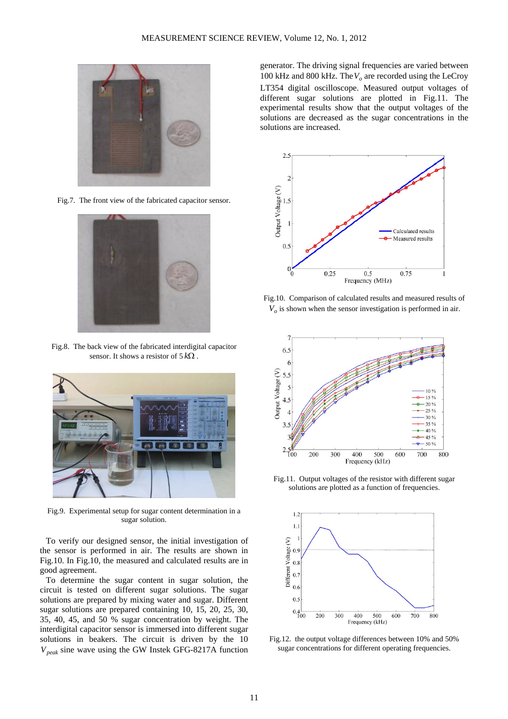

Fig.7. The front view of the fabricated capacitor sensor.



Fig.8. The back view of the fabricated interdigital capacitor sensor. It shows a resistor of 5 *k*Ω .



Fig.9. Experimental setup for sugar content determination in a sugar solution.

To verify our designed sensor, the initial investigation of the sensor is performed in air. The results are shown in Fig.10. In Fig.10, the measured and calculated results are in good agreement.

To determine the sugar content in sugar solution, the circuit is tested on different sugar solutions. The sugar solutions are prepared by mixing water and sugar. Different sugar solutions are prepared containing 10, 15, 20, 25, 30, 35, 40, 45, and 50 % sugar concentration by weight. The interdigital capacitor sensor is immersed into different sugar solutions in beakers. The circuit is driven by the 10 *Vpeak* sine wave using the GW Instek GFG-8217A function generator. The driving signal frequencies are varied between 100 kHz and 800 kHz. The  $V<sub>o</sub>$  are recorded using the LeCroy LT354 digital oscilloscope. Measured output voltages of different sugar solutions are plotted in Fig.11. The experimental results show that the output voltages of the solutions are decreased as the sugar concentrations in the solutions are increased.



Fig.10. Comparison of calculated results and measured results of  $V<sub>o</sub>$  is shown when the sensor investigation is performed in air.



Fig.11. Output voltages of the resistor with different sugar solutions are plotted as a function of frequencies.



Fig.12. the output voltage differences between 10% and 50% sugar concentrations for different operating frequencies.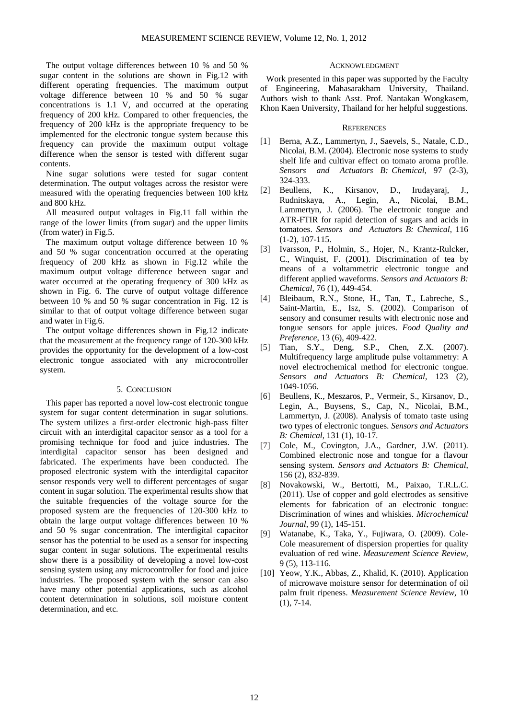The output voltage differences between 10 % and 50 % sugar content in the solutions are shown in Fig.12 with different operating frequencies. The maximum output voltage difference between 10 % and 50 % sugar concentrations is 1.1 V, and occurred at the operating frequency of 200 kHz. Compared to other frequencies, the frequency of 200 kHz is the appropriate frequency to be implemented for the electronic tongue system because this frequency can provide the maximum output voltage difference when the sensor is tested with different sugar contents.

Nine sugar solutions were tested for sugar content determination. The output voltages across the resistor were measured with the operating frequencies between 100 kHz and 800 kHz.

All measured output voltages in Fig.11 fall within the range of the lower limits (from sugar) and the upper limits (from water) in Fig.5.

The maximum output voltage difference between 10 % and 50 % sugar concentration occurred at the operating frequency of 200 kHz as shown in Fig.12 while the maximum output voltage difference between sugar and water occurred at the operating frequency of 300 kHz as shown in Fig. 6. The curve of output voltage difference between 10 % and 50 % sugar concentration in Fig. 12 is similar to that of output voltage difference between sugar and water in Fig.6.

The output voltage differences shown in Fig.12 indicate that the measurement at the frequency range of 120-300 kHz provides the opportunity for the development of a low-cost electronic tongue associated with any microcontroller system.

#### 5. CONCLUSION

This paper has reported a novel low-cost electronic tongue system for sugar content determination in sugar solutions. The system utilizes a first-order electronic high-pass filter circuit with an interdigital capacitor sensor as a tool for a promising technique for food and juice industries. The interdigital capacitor sensor has been designed and fabricated. The experiments have been conducted. The proposed electronic system with the interdigital capacitor sensor responds very well to different percentages of sugar content in sugar solution. The experimental results show that the suitable frequencies of the voltage source for the proposed system are the frequencies of 120-300 kHz to obtain the large output voltage differences between 10 % and 50 % sugar concentration. The interdigital capacitor sensor has the potential to be used as a sensor for inspecting sugar content in sugar solutions. The experimental results show there is a possibility of developing a novel low-cost sensing system using any microcontroller for food and juice industries. The proposed system with the sensor can also have many other potential applications, such as alcohol content determination in solutions, soil moisture content determination, and etc.

#### ACKNOWLEDGMENT

Work presented in this paper was supported by the Faculty of Engineering, Mahasarakham University, Thailand. Authors wish to thank Asst. Prof. Nantakan Wongkasem, Khon Kaen University, Thailand for her helpful suggestions.

## **REFERENCES**

- [1] Berna, A.Z., Lammertyn, J., Saevels, S., Natale, C.D., Nicolai, B.M. (2004). Electronic nose systems to study shelf life and cultivar effect on tomato aroma profile. *Sensors and Actuators B: Chemical*, 97 (2-3), 324-333.
- [2] Beullens, K., Kirsanov, D., Irudayaraj, J., Rudnitskaya, A., Legin, A., Nicolai, B.M., Lammertyn, J. (2006). The electronic tongue and ATR-FTIR for rapid detection of sugars and acids in tomatoes. *Sensors and Actuators B: Chemical*, 116 (1-2), 107-115.
- [3] Ivarsson, P., Holmin, S., Hojer, N., Krantz-Rulcker, C., Winquist, F. (2001). Discrimination of tea by means of a voltammetric electronic tongue and different applied waveforms. *Sensors and Actuators B: Chemical*, 76 (1), 449-454.
- [4] Bleibaum, R.N., Stone, H., Tan, T., Labreche, S., Saint-Martin, E., Isz, S. (2002). Comparison of sensory and consumer results with electronic nose and tongue sensors for apple juices. *Food Quality and Preference*, 13 (6), 409-422.
- [5] Tian, S.Y., Deng, S.P., Chen, Z.X. (2007). Multifrequency large amplitude pulse voltammetry: A novel electrochemical method for electronic tongue. *Sensors and Actuators B: Chemical*, 123 (2), 1049-1056.
- [6] Beullens, K., Meszaros, P., Vermeir, S., Kirsanov, D., Legin, A., Buysens, S., Cap, N., Nicolai, B.M., Lammertyn, J. (2008). Analysis of tomato taste using two types of electronic tongues. *Sensors and Actuators B: Chemical*, 131 (1), 10-17.
- [7] Cole, M., Covington, J.A., Gardner, J.W. (2011). Combined electronic nose and tongue for a flavour sensing system. *Sensors and Actuators B: Chemical*, 156 (2), 832-839.
- [8] Novakowski, W., Bertotti, M., Paixao, T.R.L.C. (2011). Use of copper and gold electrodes as sensitive elements for fabrication of an electronic tongue: Discrimination of wines and whiskies. *Microchemical Journal*, 99 (1), 145-151.
- [9] Watanabe, K., Taka, Y., Fujiwara, O. (2009). Cole-Cole measurement of dispersion properties for quality evaluation of red wine. *Measurement Science Review*, 9 (5), 113-116.
- [10] Yeow, Y.K., Abbas, Z., Khalid, K. (2010). Application of microwave moisture sensor for determination of oil palm fruit ripeness. *Measurement Science Review*, 10 (1), 7-14.